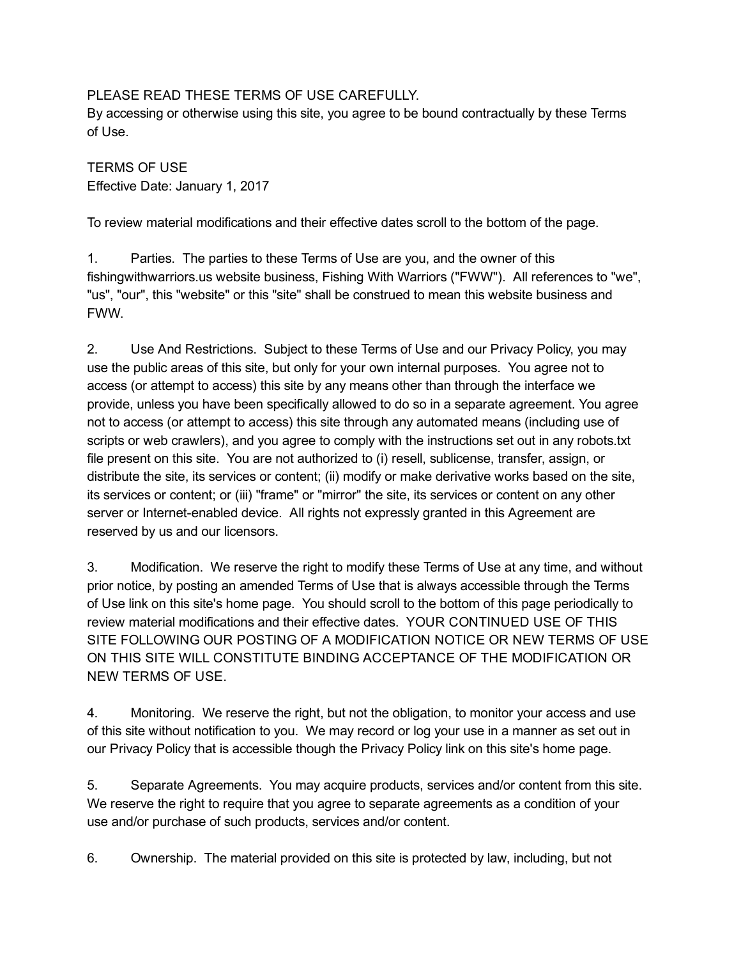## PLEASE READ THESE TERMS OF USE CAREFULLY.

By accessing or otherwise using this site, you agree to be bound contractually by these Terms of Use.

TERMS OF USE Effective Date: January 1, 2017

To review material modifications and their effective dates scroll to the bottom of the page.

1. Parties. The parties to these Terms of Use are you, and the owner of this fishingwithwarriors.us website business, Fishing With Warriors ("FWW"). All references to "we", "us", "our", this "website" or this "site" shall be construed to mean this website business and FWW.

2. Use And Restrictions. Subject to these Terms of Use and our Privacy Policy, you may use the public areas of this site, but only for your own internal purposes. You agree not to access (or attempt to access) this site by any means other than through the interface we provide, unless you have been specifically allowed to do so in a separate agreement. You agree not to access (or attempt to access) this site through any automated means (including use of scripts or web crawlers), and you agree to comply with the instructions set out in any robots.txt file present on this site. You are not authorized to (i) resell, sublicense, transfer, assign, or distribute the site, its services or content; (ii) modify or make derivative works based on the site, its services or content; or (iii) "frame" or "mirror" the site, its services or content on any other server or Internet-enabled device. All rights not expressly granted in this Agreement are reserved by us and our licensors.

3. Modification. We reserve the right to modify these Terms of Use at any time, and without prior notice, by posting an amended Terms of Use that is always accessible through the Terms of Use link on this site's home page. You should scroll to the bottom of this page periodically to review material modifications and their effective dates. YOUR CONTINUED USE OF THIS SITE FOLLOWING OUR POSTING OF A MODIFICATION NOTICE OR NEW TERMS OF USE ON THIS SITE WILL CONSTITUTE BINDING ACCEPTANCE OF THE MODIFICATION OR NEW TERMS OF USE.

4. Monitoring. We reserve the right, but not the obligation, to monitor your access and use of this site without notification to you. We may record or log your use in a manner as set out in our Privacy Policy that is accessible though the Privacy Policy link on this site's home page.

5. Separate Agreements. You may acquire products, services and/or content from this site. We reserve the right to require that you agree to separate agreements as a condition of your use and/or purchase of such products, services and/or content.

6. Ownership. The material provided on this site is protected by law, including, but not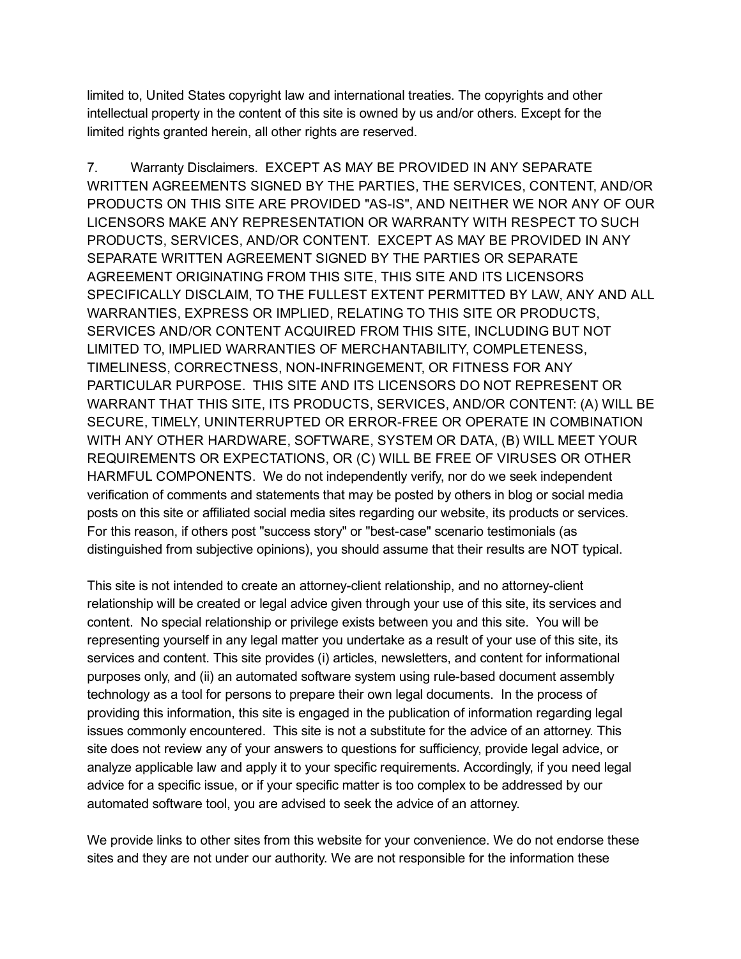limited to, United States copyright law and international treaties. The copyrights and other intellectual property in the content of this site is owned by us and/or others. Except for the limited rights granted herein, all other rights are reserved.

7. Warranty Disclaimers. EXCEPT AS MAY BE PROVIDED IN ANY SEPARATE WRITTEN AGREEMENTS SIGNED BY THE PARTIES, THE SERVICES, CONTENT, AND/OR PRODUCTS ON THIS SITE ARE PROVIDED "ASIS", AND NEITHER WE NOR ANY OF OUR LICENSORS MAKE ANY REPRESENTATION OR WARRANTY WITH RESPECT TO SUCH PRODUCTS, SERVICES, AND/OR CONTENT. EXCEPT AS MAY BE PROVIDED IN ANY SEPARATE WRITTEN AGREEMENT SIGNED BY THE PARTIES OR SEPARATE AGREEMENT ORIGINATING FROM THIS SITE, THIS SITE AND ITS LICENSORS SPECIFICALLY DISCLAIM, TO THE FULLEST EXTENT PERMITTED BY LAW, ANY AND ALL WARRANTIES, EXPRESS OR IMPLIED, RELATING TO THIS SITE OR PRODUCTS, SERVICES AND/OR CONTENT ACQUIRED FROM THIS SITE, INCLUDING BUT NOT LIMITED TO, IMPLIED WARRANTIES OF MERCHANTABILITY, COMPLETENESS, TIMELINESS, CORRECTNESS, NON-INFRINGEMENT, OR FITNESS FOR ANY PARTICULAR PURPOSE. THIS SITE AND ITS LICENSORS DO NOT REPRESENT OR WARRANT THAT THIS SITE, ITS PRODUCTS, SERVICES, AND/OR CONTENT: (A) WILL BE SECURE, TIMELY, UNINTERRUPTED OR ERROR-FREE OR OPERATE IN COMBINATION WITH ANY OTHER HARDWARE, SOFTWARE, SYSTEM OR DATA, (B) WILL MEET YOUR REQUIREMENTS OR EXPECTATIONS, OR (C) WILL BE FREE OF VIRUSES OR OTHER HARMFUL COMPONENTS. We do not independently verify, nor do we seek independent verification of comments and statements that may be posted by others in blog or social media posts on this site or affiliated social media sites regarding our website, its products or services. For this reason, if others post "success story" or "best-case" scenario testimonials (as distinguished from subjective opinions), you should assume that their results are NOT typical.

This site is not intended to create an attorney-client relationship, and no attorney-client relationship will be created or legal advice given through your use of this site, its services and content. No special relationship or privilege exists between you and this site. You will be representing yourself in any legal matter you undertake as a result of your use of this site, its services and content. This site provides (i) articles, newsletters, and content for informational purposes only, and (ii) an automated software system using rulebased document assembly technology as a tool for persons to prepare their own legal documents. In the process of providing this information, this site is engaged in the publication of information regarding legal issues commonly encountered. This site is not a substitute for the advice of an attorney. This site does not review any of your answers to questions for sufficiency, provide legal advice, or analyze applicable law and apply it to your specific requirements. Accordingly, if you need legal advice for a specific issue, or if your specific matter is too complex to be addressed by our automated software tool, you are advised to seek the advice of an attorney.

We provide links to other sites from this website for your convenience. We do not endorse these sites and they are not under our authority. We are not responsible for the information these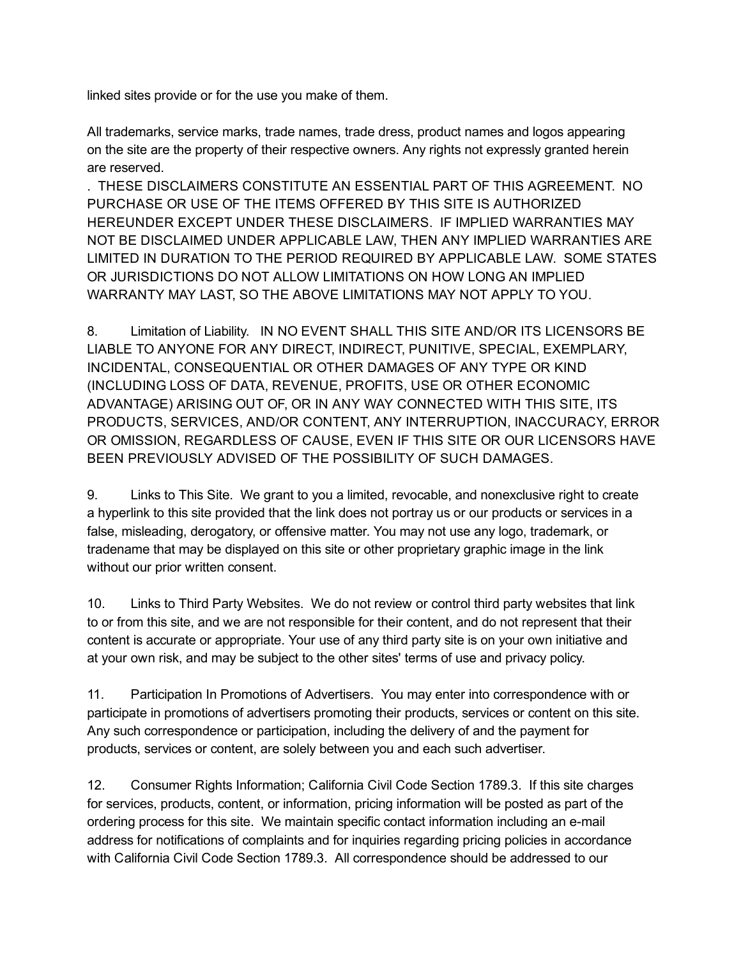linked sites provide or for the use you make of them.

All trademarks, service marks, trade names, trade dress, product names and logos appearing on the site are the property of their respective owners. Any rights not expressly granted herein are reserved.

. THESE DISCLAIMERS CONSTITUTE AN ESSENTIAL PART OF THIS AGREEMENT. NO PURCHASE OR USE OF THE ITEMS OFFERED BY THIS SITE IS AUTHORIZED HEREUNDER EXCEPT UNDER THESE DISCLAIMERS. IF IMPLIED WARRANTIES MAY NOT BE DISCLAIMED UNDER APPLICABLE LAW, THEN ANY IMPLIED WARRANTIES ARE LIMITED IN DURATION TO THE PERIOD REQUIRED BY APPLICABLE LAW. SOME STATES OR JURISDICTIONS DO NOT ALLOW LIMITATIONS ON HOW LONG AN IMPLIED WARRANTY MAY LAST, SO THE ABOVE LIMITATIONS MAY NOT APPLY TO YOU.

8. Limitation of Liability. IN NO EVENT SHALL THIS SITE AND/OR ITS LICENSORS BE LIABLE TO ANYONE FOR ANY DIRECT, INDIRECT, PUNITIVE, SPECIAL, EXEMPLARY, INCIDENTAL, CONSEQUENTIAL OR OTHER DAMAGES OF ANY TYPE OR KIND (INCLUDING LOSS OF DATA, REVENUE, PROFITS, USE OR OTHER ECONOMIC ADVANTAGE) ARISING OUT OF, OR IN ANY WAY CONNECTED WITH THIS SITE, ITS PRODUCTS, SERVICES, AND/OR CONTENT, ANY INTERRUPTION, INACCURACY, ERROR OR OMISSION, REGARDLESS OF CAUSE, EVEN IF THIS SITE OR OUR LICENSORS HAVE BEEN PREVIOUSLY ADVISED OF THE POSSIBILITY OF SUCH DAMAGES.

9. Links to This Site. We grant to you a limited, revocable, and nonexclusive right to create a hyperlink to this site provided that the link does not portray us or our products or services in a false, misleading, derogatory, or offensive matter. You may not use any logo, trademark, or tradename that may be displayed on this site or other proprietary graphic image in the link without our prior written consent.

10. Links to Third Party Websites. We do not review or control third party websites that link to or from this site, and we are not responsible for their content, and do not represent that their content is accurate or appropriate. Your use of any third party site is on your own initiative and at your own risk, and may be subject to the other sites' terms of use and privacy policy.

11. Participation In Promotions of Advertisers. You may enter into correspondence with or participate in promotions of advertisers promoting their products, services or content on this site. Any such correspondence or participation, including the delivery of and the payment for products, services or content, are solely between you and each such advertiser.

12. Consumer Rights Information; California Civil Code Section 1789.3. If this site charges for services, products, content, or information, pricing information will be posted as part of the ordering process for this site. We maintain specific contact information including an email address for notifications of complaints and for inquiries regarding pricing policies in accordance with California Civil Code Section 1789.3. All correspondence should be addressed to our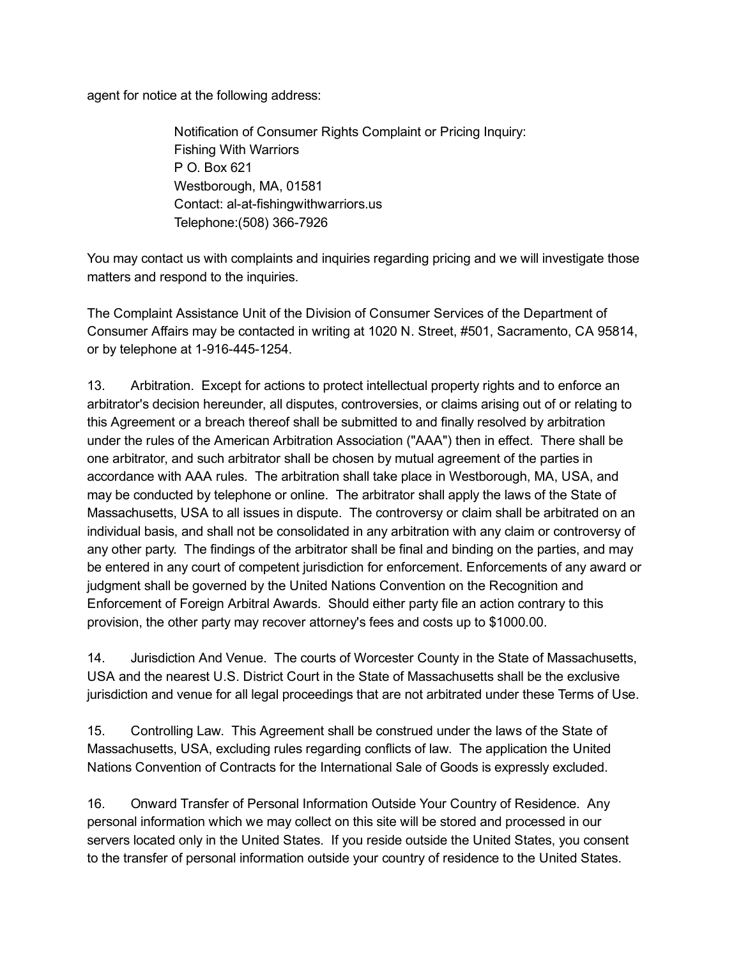agent for notice at the following address:

Notification of Consumer Rights Complaint or Pricing Inquiry: Fishing With Warriors P O. Box 621 Westborough, MA, 01581 Contact: al-at-fishingwithwarriors.us Telephone: (508) 366-7926

You may contact us with complaints and inquiries regarding pricing and we will investigate those matters and respond to the inquiries.

The Complaint Assistance Unit of the Division of Consumer Services of the Department of Consumer Affairs may be contacted in writing at 1020 N. Street, #501, Sacramento, CA 95814, or by telephone at 1-916-445-1254.

13. Arbitration. Except for actions to protect intellectual property rights and to enforce an arbitrator's decision hereunder, all disputes, controversies, or claims arising out of or relating to this Agreement or a breach thereof shall be submitted to and finally resolved by arbitration under the rules of the American Arbitration Association ("AAA") then in effect. There shall be one arbitrator, and such arbitrator shall be chosen by mutual agreement of the parties in accordance with AAA rules. The arbitration shall take place in Westborough, MA, USA, and may be conducted by telephone or online. The arbitrator shall apply the laws of the State of Massachusetts, USA to all issues in dispute. The controversy or claim shall be arbitrated on an individual basis, and shall not be consolidated in any arbitration with any claim or controversy of any other party. The findings of the arbitrator shall be final and binding on the parties, and may be entered in any court of competent jurisdiction for enforcement. Enforcements of any award or judgment shall be governed by the United Nations Convention on the Recognition and Enforcement of Foreign Arbitral Awards. Should either party file an action contrary to this provision, the other party may recover attorney's fees and costs up to \$1000.00.

14. Jurisdiction And Venue. The courts of Worcester County in the State of Massachusetts, USA and the nearest U.S. District Court in the State of Massachusetts shall be the exclusive jurisdiction and venue for all legal proceedings that are not arbitrated under these Terms of Use.

15. Controlling Law. This Agreement shall be construed under the laws of the State of Massachusetts, USA, excluding rules regarding conflicts of law. The application the United Nations Convention of Contracts for the International Sale of Goods is expressly excluded.

16. Onward Transfer of Personal Information Outside Your Country of Residence. Any personal information which we may collect on this site will be stored and processed in our servers located only in the United States. If you reside outside the United States, you consent to the transfer of personal information outside your country of residence to the United States.